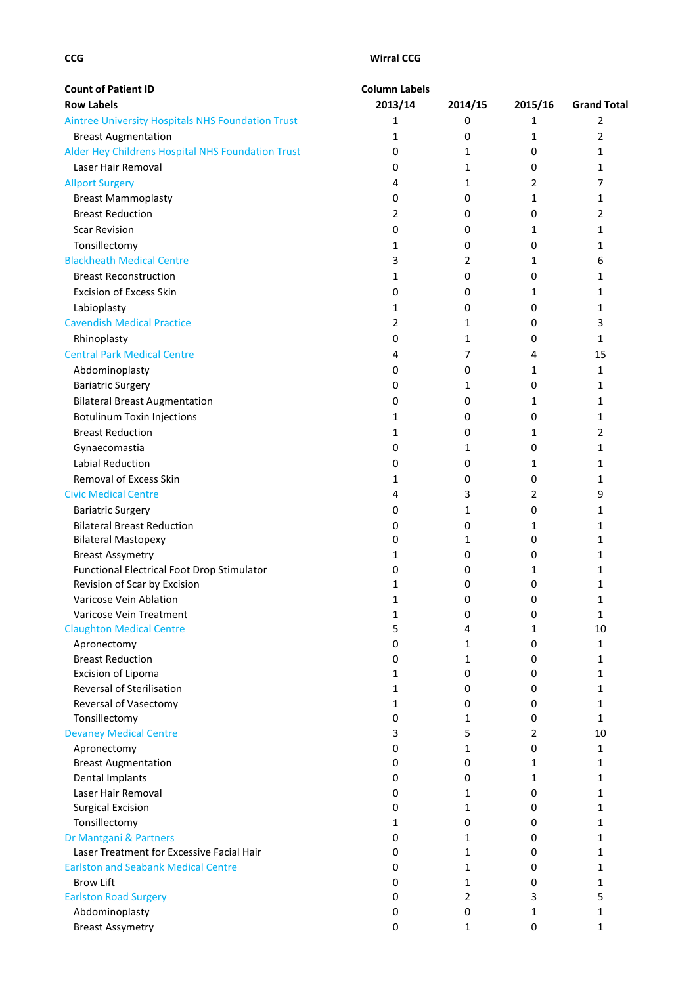| <b>Count of Patient ID</b>                               | <b>Column Labels</b> |                |                  |                    |  |
|----------------------------------------------------------|----------------------|----------------|------------------|--------------------|--|
| <b>Row Labels</b>                                        | 2013/14              | 2014/15        | 2015/16          | <b>Grand Total</b> |  |
| <b>Aintree University Hospitals NHS Foundation Trust</b> | 1                    | 0              | 1                | 2                  |  |
| <b>Breast Augmentation</b>                               | 1                    | 0              | 1                | 2                  |  |
| Alder Hey Childrens Hospital NHS Foundation Trust        | 0                    | $\mathbf{1}$   | 0                | 1                  |  |
| Laser Hair Removal                                       | 0                    | 1              | 0                | $\mathbf{1}$       |  |
| <b>Allport Surgery</b>                                   | 4                    | 1              | 2                | 7                  |  |
| <b>Breast Mammoplasty</b>                                | 0                    | 0              | 1                | 1                  |  |
| <b>Breast Reduction</b>                                  | 2                    | 0              | 0                | $\overline{2}$     |  |
| <b>Scar Revision</b>                                     | 0                    | 0              | 1                | 1                  |  |
| Tonsillectomy                                            | 1                    | 0              | 0                | 1                  |  |
| <b>Blackheath Medical Centre</b>                         | 3                    | 2              | 1                | 6                  |  |
| <b>Breast Reconstruction</b>                             | 1                    | $\mathbf 0$    | 0                | 1                  |  |
| <b>Excision of Excess Skin</b>                           | 0                    | 0              | 1                | 1                  |  |
| Labioplasty                                              | 1                    | 0              | 0                | $\mathbf{1}$       |  |
| <b>Cavendish Medical Practice</b>                        | 2                    | 1              | 0                | 3                  |  |
| Rhinoplasty                                              | 0                    | 1              | 0                | $\mathbf{1}$       |  |
| <b>Central Park Medical Centre</b>                       | 4                    | $\overline{7}$ | 4                | 15                 |  |
|                                                          |                      | 0              |                  |                    |  |
| Abdominoplasty                                           | 0                    |                | 1                | 1                  |  |
| <b>Bariatric Surgery</b>                                 | 0                    | 1              | 0                | 1                  |  |
| <b>Bilateral Breast Augmentation</b>                     | 0                    | 0              | 1                | 1                  |  |
| <b>Botulinum Toxin Injections</b>                        | 1                    | 0              | 0                | 1                  |  |
| <b>Breast Reduction</b>                                  | 1                    | 0              | 1                | $\overline{2}$     |  |
| Gynaecomastia                                            | 0                    | 1              | 0                | $\mathbf{1}$       |  |
| <b>Labial Reduction</b>                                  | 0                    | 0              | 1                | 1                  |  |
| Removal of Excess Skin                                   | 1                    | 0              | 0                | 1                  |  |
| <b>Civic Medical Centre</b>                              | 4                    | 3              | 2                | 9                  |  |
| <b>Bariatric Surgery</b>                                 | 0                    | 1              | 0                | 1                  |  |
| <b>Bilateral Breast Reduction</b>                        | 0                    | $\mathbf 0$    | 1                | 1                  |  |
| <b>Bilateral Mastopexy</b>                               | 0                    | 1              | 0                | 1                  |  |
| <b>Breast Assymetry</b>                                  | 1                    | 0              | 0                | 1                  |  |
| Functional Electrical Foot Drop Stimulator               | 0                    | 0              | 1                | 1                  |  |
| Revision of Scar by Excision                             | 1                    | 0              | 0                | 1                  |  |
| Varicose Vein Ablation                                   | 1                    | 0              | 0                | 1                  |  |
| Varicose Vein Treatment                                  | 1                    | 0              | 0                | 1                  |  |
| <b>Claughton Medical Centre</b>                          | 5                    | 4              | 1                | 10                 |  |
| Apronectomy                                              | 0                    | 1              | 0                | 1                  |  |
| <b>Breast Reduction</b>                                  | 0                    | $\mathbf{1}$   | 0                | $\mathbf{1}$       |  |
| Excision of Lipoma<br>Reversal of Sterilisation          | 1<br>$\mathbf 1$     | 0<br>0         | 0                | 1<br>1             |  |
| Reversal of Vasectomy                                    |                      | 0              | 0                | 1                  |  |
| Tonsillectomy                                            | 1<br>0               | $\mathbf{1}$   | 0<br>0           | $\mathbf{1}$       |  |
| <b>Devaney Medical Centre</b>                            | 3                    | 5              | 2                | 10                 |  |
| Apronectomy                                              | 0                    | $\mathbf{1}$   | 0                | 1                  |  |
| <b>Breast Augmentation</b>                               | 0                    | 0              | 1                | 1                  |  |
| Dental Implants                                          | 0                    | 0              | 1                | $\mathbf{1}$       |  |
| Laser Hair Removal                                       | 0                    | 1              | 0                | 1                  |  |
| <b>Surgical Excision</b>                                 | 0                    | 1              | 0                | 1                  |  |
| Tonsillectomy                                            | 1                    | $\mathbf 0$    | 0                | 1                  |  |
| Dr Mantgani & Partners                                   | 0                    | 1              | 0                | 1                  |  |
| Laser Treatment for Excessive Facial Hair                | 0                    | 1              | 0                | 1                  |  |
| <b>Earlston and Seabank Medical Centre</b>               | 0                    | 1              | 0                | 1                  |  |
| <b>Brow Lift</b>                                         | 0                    | $\mathbf{1}$   | 0                | 1                  |  |
| <b>Earlston Road Surgery</b>                             | 0                    | 2              | 3                | 5                  |  |
| Abdominoplasty                                           | 0                    | 0              | 1                | 1                  |  |
| <b>Breast Assymetry</b>                                  | 0                    | 1              | $\boldsymbol{0}$ | 1                  |  |
|                                                          |                      |                |                  |                    |  |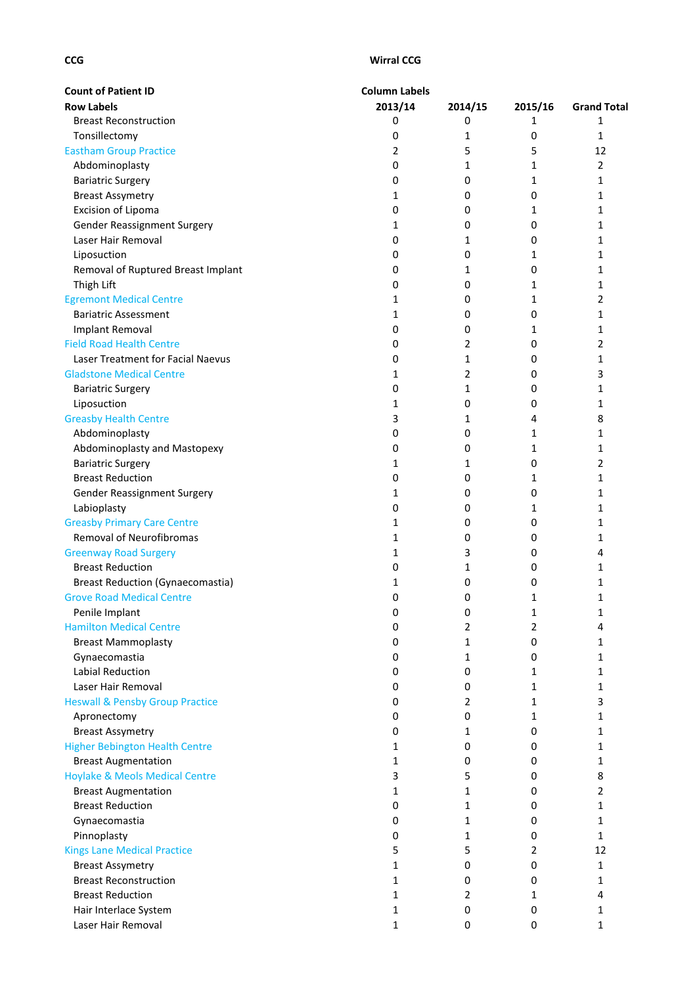| <b>Count of Patient ID</b>                 | <b>Column Labels</b> |             |         |                    |
|--------------------------------------------|----------------------|-------------|---------|--------------------|
| <b>Row Labels</b>                          | 2013/14              | 2014/15     | 2015/16 | <b>Grand Total</b> |
| <b>Breast Reconstruction</b>               | 0                    | 0           | 1       | 1                  |
| Tonsillectomy                              | 0                    | 1           | 0       | 1                  |
| <b>Eastham Group Practice</b>              | 2                    | 5           | 5       | 12                 |
| Abdominoplasty                             | 0                    | 1           | 1       | 2                  |
| <b>Bariatric Surgery</b>                   | 0                    | $\mathbf 0$ | 1       | 1                  |
| <b>Breast Assymetry</b>                    | 1                    | 0           | 0       | 1                  |
| Excision of Lipoma                         | 0                    | 0           | 1       | 1                  |
| <b>Gender Reassignment Surgery</b>         | 1                    | 0           | 0       | 1                  |
| Laser Hair Removal                         | 0                    | 1           | 0       | 1                  |
| Liposuction                                | 0                    | 0           | 1       | 1                  |
| Removal of Ruptured Breast Implant         | 0                    | 1           | 0       | 1                  |
| Thigh Lift                                 | 0                    | 0           | 1       | 1                  |
| <b>Egremont Medical Centre</b>             | 1                    | 0           | 1       | 2                  |
| <b>Bariatric Assessment</b>                | 1                    | 0           | 0       | 1                  |
| Implant Removal                            | 0                    | 0           | 1       | $\mathbf{1}$       |
| <b>Field Road Health Centre</b>            | 0                    | 2           | 0       | 2                  |
| Laser Treatment for Facial Naevus          | 0                    | 1           | 0       | 1                  |
| <b>Gladstone Medical Centre</b>            | 1                    | 2           | 0       | 3                  |
| <b>Bariatric Surgery</b>                   | 0                    | 1           | 0       | 1                  |
| Liposuction                                | 1                    | 0           | 0       | 1                  |
| <b>Greasby Health Centre</b>               | 3                    | 1           | 4       | 8                  |
| Abdominoplasty                             | 0                    | $\pmb{0}$   | 1       | 1                  |
| Abdominoplasty and Mastopexy               | 0                    | 0           | 1       | 1                  |
| <b>Bariatric Surgery</b>                   | 1                    | 1           | 0       | 2                  |
| <b>Breast Reduction</b>                    | 0                    | 0           | 1       | 1                  |
| Gender Reassignment Surgery                | 1                    | 0           | 0       | 1                  |
| Labioplasty                                | 0                    | 0           | 1       | 1                  |
| <b>Greasby Primary Care Centre</b>         | 1                    | 0           | 0       | 1                  |
| <b>Removal of Neurofibromas</b>            | 1                    | 0           | 0       | 1                  |
| <b>Greenway Road Surgery</b>               | 1                    | 3           | 0       | 4                  |
| <b>Breast Reduction</b>                    | 0                    | 1           | 0       | 1                  |
| <b>Breast Reduction (Gynaecomastia)</b>    | 1                    | 0           | 0       | 1                  |
| <b>Grove Road Medical Centre</b>           | 0                    | 0           | 1       | 1                  |
| Penile Implant                             | 0                    | 0           | 1       | 1                  |
| <b>Hamilton Medical Centre</b>             | 0                    | 2           | 2       | 4                  |
| <b>Breast Mammoplasty</b>                  | 0                    | 1           | 0       | 1                  |
| Gynaecomastia                              | 0                    | 1           | 0       | 1                  |
| <b>Labial Reduction</b>                    | 0                    | $\mathbf 0$ | 1       | 1                  |
| Laser Hair Removal                         | 0                    | 0           | 1       | 1                  |
| <b>Heswall &amp; Pensby Group Practice</b> | 0                    | 2           | 1       | 3                  |
| Apronectomy                                | 0                    | 0           | 1       | 1                  |
| <b>Breast Assymetry</b>                    | 0                    | 1           | 0       | 1                  |
| <b>Higher Bebington Health Centre</b>      | 1                    | 0           | 0       | 1                  |
| <b>Breast Augmentation</b>                 | 1                    | 0           | 0       | 1                  |
| <b>Hoylake &amp; Meols Medical Centre</b>  | 3                    | 5           | 0       | 8                  |
| <b>Breast Augmentation</b>                 | 1                    | 1           | 0       | 2                  |
| <b>Breast Reduction</b>                    | 0                    | 1           | 0       | 1                  |
| Gynaecomastia                              | 0                    | 1           | 0       | 1                  |
| Pinnoplasty                                | 0                    | 1           | 0       | 1                  |
| <b>Kings Lane Medical Practice</b>         | 5                    | 5           | 2       | 12                 |
| <b>Breast Assymetry</b>                    | 1                    | 0           | 0       | 1                  |
| <b>Breast Reconstruction</b>               | 1                    | 0           | 0       | 1                  |
| <b>Breast Reduction</b>                    | 1                    | 2           | 1       | 4                  |
| Hair Interlace System                      | 1                    | 0           | 0       | 1                  |
| Laser Hair Removal                         | 1                    | $\mathbf 0$ | 0       | 1                  |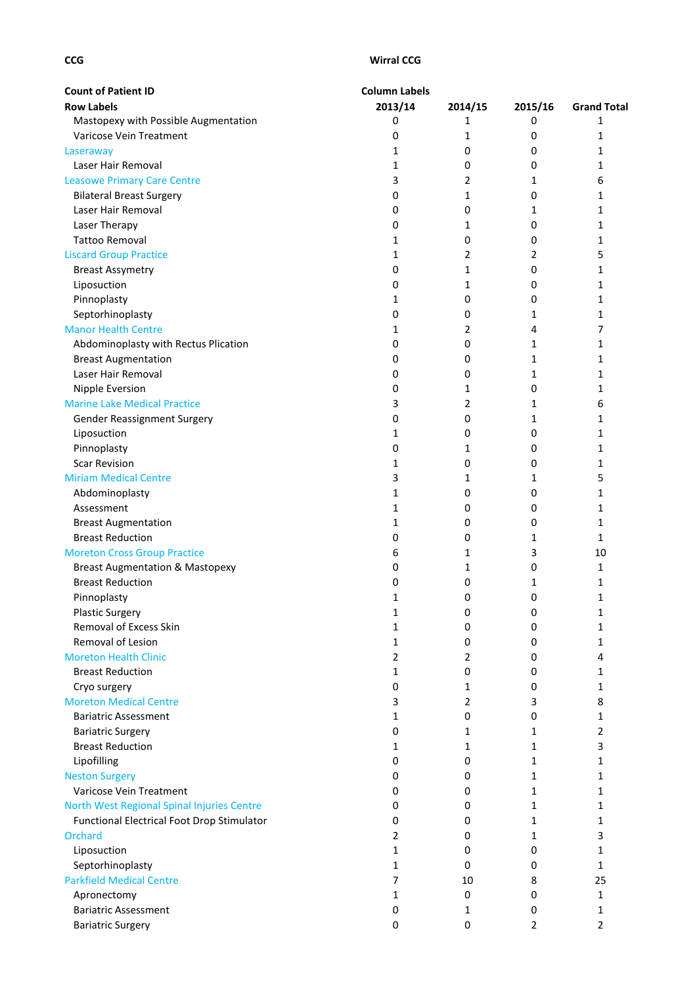| <b>Count of Patient ID</b>                 | <b>Column Labels</b> |         |         |                    |
|--------------------------------------------|----------------------|---------|---------|--------------------|
| <b>Row Labels</b>                          | 2013/14              | 2014/15 | 2015/16 | <b>Grand Total</b> |
| Mastopexy with Possible Augmentation       | 0                    | 1       | 0       | 1                  |
| Varicose Vein Treatment                    | 0                    | 1       | 0       | 1                  |
| Laseraway                                  | 1                    | 0       | 0       | 1                  |
| Laser Hair Removal                         | 1                    | 0       | 0       | 1                  |
| <b>Leasowe Primary Care Centre</b>         | 3                    | 2       | 1       | 6                  |
| <b>Bilateral Breast Surgery</b>            | 0                    | 1       | 0       | 1                  |
| Laser Hair Removal                         | 0                    | 0       | 1       | 1                  |
| Laser Therapy                              | 0                    | 1       | 0       | 1                  |
| <b>Tattoo Removal</b>                      | 1                    | 0       | 0       | 1                  |
| <b>Liscard Group Practice</b>              | 1                    | 2       | 2       | 5                  |
| <b>Breast Assymetry</b>                    | 0                    | 1       | 0       | 1                  |
| Liposuction                                | 0                    | 1       | 0       | $\mathbf{1}$       |
| Pinnoplasty                                | 1                    | 0       | 0       | 1                  |
| Septorhinoplasty                           | 0                    | 0       | 1       | $\mathbf{1}$       |
| <b>Manor Health Centre</b>                 | 1                    | 2       | 4       | 7                  |
| Abdominoplasty with Rectus Plication       | 0                    | 0       | 1       | $\mathbf{1}$       |
| <b>Breast Augmentation</b>                 | 0                    | 0       | 1       | 1                  |
| Laser Hair Removal                         | 0                    | 0       | 1       | 1                  |
| Nipple Eversion                            | 0                    | 1       | 0       | $\mathbf{1}$       |
| <b>Marine Lake Medical Practice</b>        | 3                    | 2       | 1       | 6                  |
| <b>Gender Reassignment Surgery</b>         | 0                    | 0       | 1       | 1                  |
| Liposuction                                | 1                    | 0       | 0       | 1                  |
| Pinnoplasty                                | 0                    | 1       | 0       | 1                  |
| <b>Scar Revision</b>                       | 1                    | 0       | 0       | 1                  |
| <b>Miriam Medical Centre</b>               | 3                    | 1       | 1       | 5                  |
| Abdominoplasty                             | 1                    | 0       | 0       | 1                  |
| Assessment                                 | 1                    | 0       | 0       | 1                  |
| <b>Breast Augmentation</b>                 | 1                    | 0       | 0       | 1                  |
| <b>Breast Reduction</b>                    | 0                    | 0       | 1       | $\mathbf{1}$       |
| <b>Moreton Cross Group Practice</b>        | 6                    | 1       | 3       | 10                 |
| <b>Breast Augmentation &amp; Mastopexy</b> | 0                    | 1       | 0       | 1                  |
| <b>Breast Reduction</b>                    | 0                    | 0       | 1       | 1                  |
| Pinnoplasty                                | 1                    | 0       | 0       | 1                  |
| <b>Plastic Surgery</b>                     | 1                    | 0       | 0       | 1                  |
| Removal of Excess Skin                     | 1                    | 0       | 0       | 1                  |
| Removal of Lesion                          | 1                    | 0       | 0       | 1                  |
| <b>Moreton Health Clinic</b>               | 2                    | 2       | 0       | 4                  |
| <b>Breast Reduction</b>                    | 1                    | 0       | 0       | 1                  |
| Cryo surgery                               | 0                    | 1       | 0       | 1                  |
| <b>Moreton Medical Centre</b>              | 3                    | 2       | 3       | 8                  |
| <b>Bariatric Assessment</b>                | 1                    | 0       | 0       | 1                  |
| <b>Bariatric Surgery</b>                   | 0                    | 1       | 1       | 2                  |
| <b>Breast Reduction</b>                    | 1                    | 1       | 1       | 3                  |
| Lipofilling                                | 0                    | 0       | 1       | 1                  |
| <b>Neston Surgery</b>                      | 0                    | 0       | 1       | $\mathbf{1}$       |
| Varicose Vein Treatment                    | 0                    | 0       | 1       | 1                  |
| North West Regional Spinal Injuries Centre | 0                    | 0       | 1       | 1                  |
| Functional Electrical Foot Drop Stimulator | 0                    | 0       | 1       | 1                  |
| <b>Orchard</b>                             | 2                    | 0       | 1       | 3                  |
| Liposuction                                | 1                    | 0       | 0       | 1                  |
| Septorhinoplasty                           | 1                    | 0       | 0       | $\mathbf{1}$       |
| <b>Parkfield Medical Centre</b>            | 7                    | 10      | 8       | 25                 |
| Apronectomy                                | 1                    | 0       | 0       | 1                  |
| <b>Bariatric Assessment</b>                | 0                    | 1       | 0       | 1                  |
| <b>Bariatric Surgery</b>                   | 0                    | 0       | 2       | $\overline{2}$     |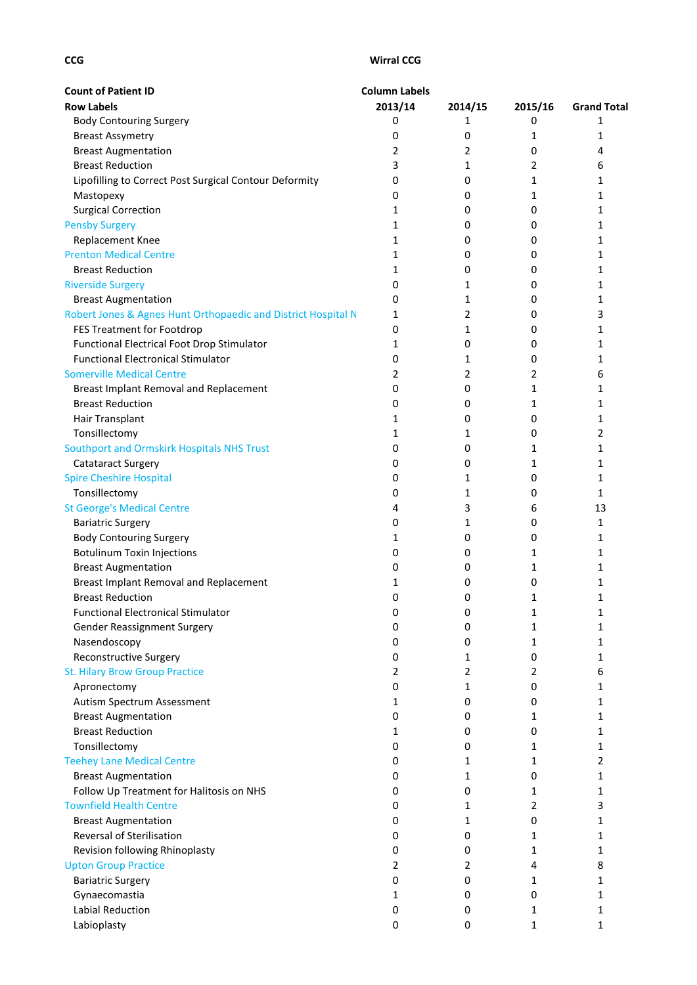| <b>Count of Patient ID</b>                                                 | <b>Column Labels</b> |                |         |                    |
|----------------------------------------------------------------------------|----------------------|----------------|---------|--------------------|
| <b>Row Labels</b>                                                          | 2013/14              | 2014/15        | 2015/16 | <b>Grand Total</b> |
| <b>Body Contouring Surgery</b>                                             | 0                    | 1              | 0       | 1                  |
| <b>Breast Assymetry</b>                                                    | 0                    | 0              | 1       | 1                  |
| <b>Breast Augmentation</b>                                                 | 2                    | $\overline{2}$ | 0       | 4                  |
| <b>Breast Reduction</b>                                                    | 3                    | 1              | 2       | 6                  |
| Lipofilling to Correct Post Surgical Contour Deformity                     | 0                    | 0              | 1       | 1                  |
| Mastopexy                                                                  | 0                    | 0              | 1       | 1                  |
| <b>Surgical Correction</b>                                                 | 1                    | 0              | 0       | 1                  |
| <b>Pensby Surgery</b>                                                      | $\mathbf{1}$         | 0              | 0       | 1                  |
| Replacement Knee                                                           | 1                    | 0              | 0       | 1                  |
| <b>Prenton Medical Centre</b>                                              | 1                    | 0              | 0       | 1                  |
| <b>Breast Reduction</b>                                                    | 1                    | 0              | 0       | 1                  |
| <b>Riverside Surgery</b>                                                   | 0                    | 1              | 0       | 1                  |
| <b>Breast Augmentation</b>                                                 | 0                    | 1              | 0       | 1                  |
| Robert Jones & Agnes Hunt Orthopaedic and District Hospital N              | 1                    | 2              | 0       | 3                  |
| FES Treatment for Footdrop                                                 | 0                    | 1              | 0       | 1                  |
| Functional Electrical Foot Drop Stimulator                                 | 1                    | 0              | 0       | 1                  |
| <b>Functional Electronical Stimulator</b>                                  | 0                    | 1              | 0       | 1                  |
| <b>Somerville Medical Centre</b>                                           | 2                    | 2              | 2       | 6                  |
| Breast Implant Removal and Replacement                                     | 0                    | 0              | 1       | 1                  |
| <b>Breast Reduction</b>                                                    | 0                    | 0              | 1       | 1                  |
| Hair Transplant                                                            | 1                    | 0              | 0       | 1                  |
| Tonsillectomy                                                              | 1                    | 1              | 0       | 2                  |
| Southport and Ormskirk Hospitals NHS Trust                                 | 0                    | 0              | 1       | 1                  |
| <b>Catataract Surgery</b>                                                  | 0                    | 0              | 1       | 1                  |
| <b>Spire Cheshire Hospital</b>                                             | 0                    | 1              | 0       | 1                  |
| Tonsillectomy                                                              | 0                    | 1              | 0       | 1                  |
| <b>St George's Medical Centre</b>                                          | 4                    | 3              | 6       | 13                 |
| <b>Bariatric Surgery</b>                                                   | 0                    | 1              | 0       | 1                  |
| <b>Body Contouring Surgery</b>                                             | 1                    | 0              | 0       | 1                  |
| <b>Botulinum Toxin Injections</b>                                          | 0                    | 0              | 1       | 1                  |
| <b>Breast Augmentation</b>                                                 | 0                    | 0              | 1       | 1                  |
| Breast Implant Removal and Replacement                                     | 1                    | 0              | 0       | 1                  |
| <b>Breast Reduction</b>                                                    | 0                    | 0              | 1       | 1                  |
| <b>Functional Electronical Stimulator</b>                                  | 0                    | 0              | 1       | 1                  |
| Gender Reassignment Surgery                                                | 0                    | 0              | 1       | 1                  |
| Nasendoscopy                                                               | 0                    | 0              | 1       | 1                  |
| <b>Reconstructive Surgery</b>                                              | 0                    | 1              | 0       | 1                  |
| <b>St. Hilary Brow Group Practice</b>                                      | 2                    | 2              | 2       | 6                  |
| Apronectomy                                                                | 0                    | 1              | 0       | 1                  |
| Autism Spectrum Assessment                                                 | 1                    | $\mathbf 0$    | 0       | 1                  |
| <b>Breast Augmentation</b>                                                 | 0                    | 0              | 1       | 1                  |
| <b>Breast Reduction</b>                                                    | 1                    | 0              | 0       | 1                  |
| Tonsillectomy                                                              | 0                    | 0              | 1       | 1                  |
| <b>Teehey Lane Medical Centre</b>                                          | 0                    | 1              | 1       | 2                  |
| <b>Breast Augmentation</b>                                                 | 0                    | 1              | 0       |                    |
|                                                                            | 0                    | 0              |         | 1                  |
| Follow Up Treatment for Halitosis on NHS<br><b>Townfield Health Centre</b> |                      |                | 1       | 1                  |
|                                                                            | 0                    | 1              | 2       | 3                  |
| <b>Breast Augmentation</b>                                                 | 0                    | 1              | 0       | 1                  |
| Reversal of Sterilisation                                                  | 0                    | 0              | 1       | 1                  |
| Revision following Rhinoplasty                                             | 0                    | 0              | 1       | 1                  |
| <b>Upton Group Practice</b>                                                | 2                    | 2              | 4       | 8                  |
| <b>Bariatric Surgery</b>                                                   | 0                    | 0              | 1       | 1                  |
| Gynaecomastia                                                              | 1                    | 0              | 0       | 1                  |
| Labial Reduction                                                           | 0                    | 0              | 1       | 1                  |
| Labioplasty                                                                | 0                    | 0              | 1       | 1                  |